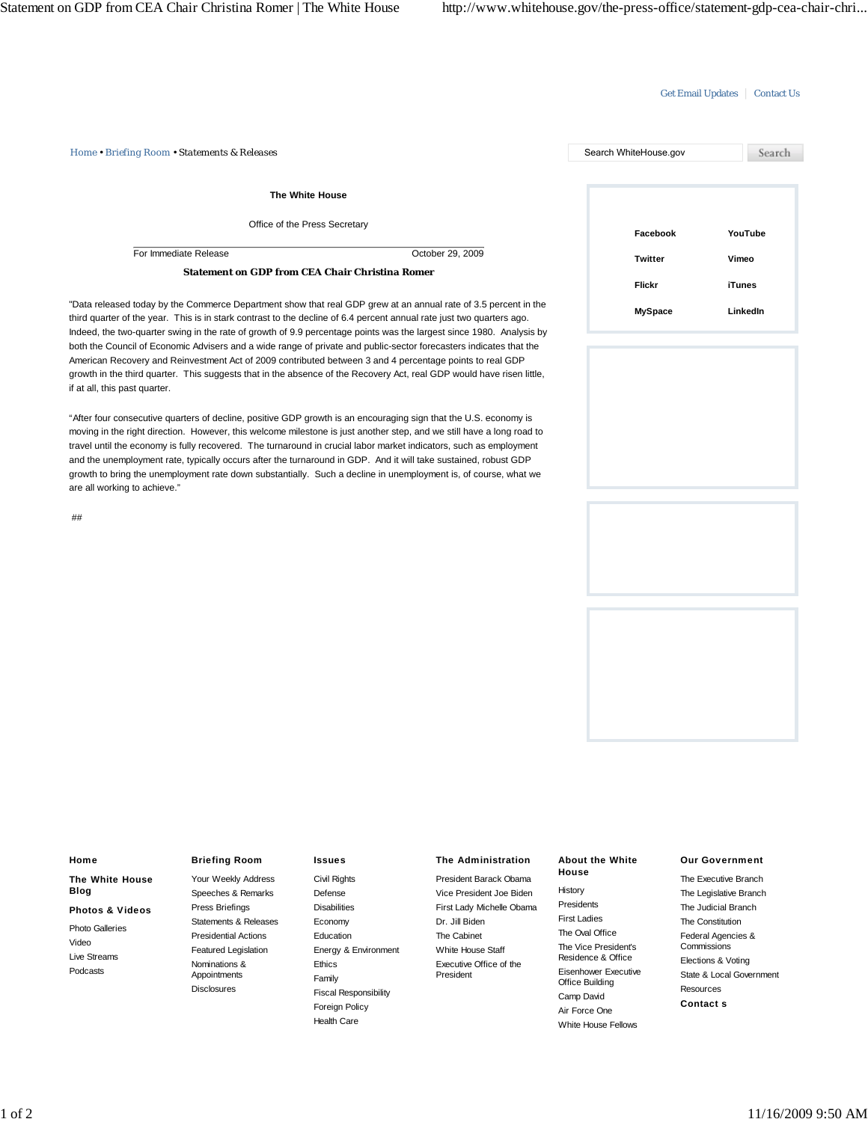## Get Email Updates | Contact Us

*Home • Briefing Room • Statements & Releases* Search WhiteHouse.gov Search **The White House** Office of the Press Secretary **Facebook YouTube** For Immediate Release Controller Controller Controller Controller Controller Controller Controller Controller Controller Controller Controller Controller Controller Controller Controller Controller Controller Controller Co **Vimeo Twitter Statement on GDP from CEA Chair Christina Romer Flickr iTunes**

"Data released today by the Commerce Department show that real GDP grew at an annual rate of 3.5 percent in the third quarter of the year. This is in stark contrast to the decline of 6.4 percent annual rate just two quarters ago. Indeed, the two-quarter swing in the rate of growth of 9.9 percentage points was the largest since 1980. Analysis by both the Council of Economic Advisers and a wide range of private and public-sector forecasters indicates that the American Recovery and Reinvestment Act of 2009 contributed between 3 and 4 percentage points to real GDP growth in the third quarter. This suggests that in the absence of the Recovery Act, real GDP would have risen little, if at all, this past quarter.

"After four consecutive quarters of decline, positive GDP growth is an encouraging sign that the U.S. economy is moving in the right direction. However, this welcome milestone is just another step, and we still have a long road to travel until the economy is fully recovered. The turnaround in crucial labor market indicators, such as employment and the unemployment rate, typically occurs after the turnaround in GDP. And it will take sustained, robust GDP growth to bring the unemployment rate down substantially. Such a decline in unemployment is, of course, what we are all working to achieve."

##





# **Home The White House Blog Photos & Videos** Photo Galleries Video Live Streams Podcasts

# **Briefing Room**

Your Weekly Address Speeches & Remarks Press Briefings Statements & Releases Presidential Actions Featured Legislation Nominations & Appointments **Disclosures** 

#### **Issues**

Civil Rights Defense **Disabilities** Economy Education Energy & Environment Ethics Family Fiscal Responsibility Foreign Policy Health Care

### **The Administration**

President Barack Obama Vice President Joe Biden First Lady Michelle Obama Dr. Jill Biden The Cabinet White House Staff Executive Office of the President

#### **About the White House**

History Presidents First Ladies The Oval Office The Vice President's Residence & Office Eisenhower Executive Office Building Camp David Air Force One White House Fellows

#### **Our Government**

The Executive Branch The Legislative Branch The Judicial Branch The Constitution Federal Agencies & **Commissions** Elections & Voting State & Local Government Resources **Contact s**